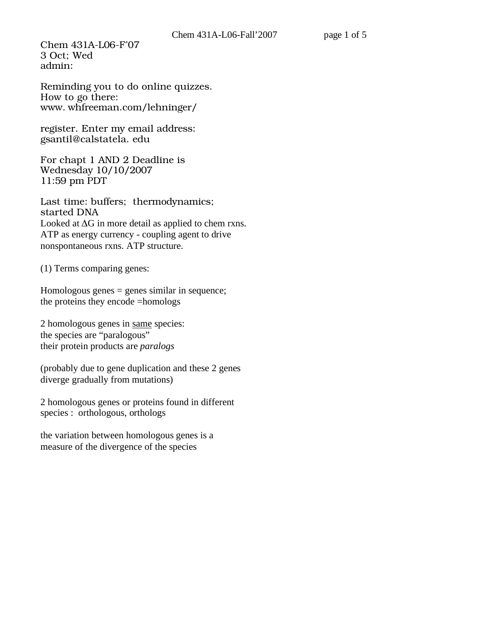Chem 431A-L06-F'07 3 Oct; Wed admin:

Reminding you to do online quizzes. How to go there: www. whfreeman.com/lehninger/

register. Enter my email address: gsantil@calstatela. edu

For chapt 1 AND 2 Deadline is Wednesday 10/10/2007 11:59 pm PDT

Last time: buffers; thermodynamics; started DNA Looked at  $\Delta G$  in more detail as applied to chem rxns. ATP as energy currency - coupling agent to drive nonspontaneous rxns. ATP structure.

(1) Terms comparing genes:

Homologous genes = genes similar in sequence; the proteins they encode =homologs

2 homologous genes in same species: the species are "paralogous" their protein products are *paralogs*

(probably due to gene duplication and these 2 genes diverge gradually from mutations)

2 homologous genes or proteins found in different species : orthologous, orthologs

the variation between homologous genes is a measure of the divergence of the species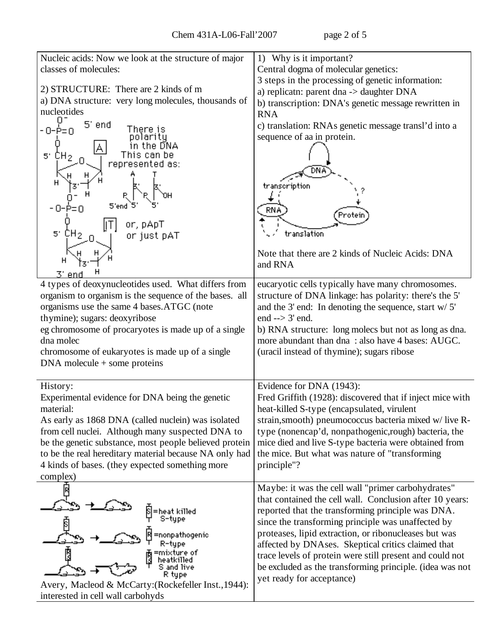| Nucleic acids: Now we look at the structure of major           | 1) Why is it important?                                   |  |  |
|----------------------------------------------------------------|-----------------------------------------------------------|--|--|
| classes of molecules:                                          | Central dogma of molecular genetics:                      |  |  |
|                                                                | 3 steps in the processing of genetic information:         |  |  |
| 2) STRUCTURE: There are 2 kinds of m                           | a) replicatn: parent dna -> daughter DNA                  |  |  |
| a) DNA structure: very long molecules, thousands of            | b) transcription: DNA's genetic message rewritten in      |  |  |
| nucleotides                                                    | <b>RNA</b>                                                |  |  |
| 5' end<br>There is<br>-O–P=∩                                   | c) translation: RNAs genetic message transl'd into a      |  |  |
| olaritu                                                        | sequence of aa in protein.                                |  |  |
| the DNA                                                        |                                                           |  |  |
| This can be<br>5'<br>represented as:                           |                                                           |  |  |
|                                                                | DN.                                                       |  |  |
|                                                                | transcription                                             |  |  |
|                                                                |                                                           |  |  |
| 5'end<br>-O–ṗ=o                                                | RNA                                                       |  |  |
|                                                                | Proteir                                                   |  |  |
| or, pApT<br>5'<br>JН2                                          | translation                                               |  |  |
| or just pAT                                                    |                                                           |  |  |
|                                                                | Note that there are 2 kinds of Nucleic Acids: DNA         |  |  |
| н                                                              | and RNA                                                   |  |  |
| 3' end                                                         |                                                           |  |  |
| 4 types of deoxynucleotides used. What differs from            | eucaryotic cells typically have many chromosomes.         |  |  |
| organism to organism is the sequence of the bases. all         | structure of DNA linkage: has polarity: there's the 5'    |  |  |
| organisms use the same 4 bases. ATGC (note                     | and the $3'$ end: In denoting the sequence, start w/ $5'$ |  |  |
| thymine); sugars: deoxyribose                                  | end $\rightarrow$ 3' end.                                 |  |  |
| eg chromosome of procaryotes is made up of a single            | b) RNA structure: long molecs but not as long as dna.     |  |  |
| dna molec                                                      | more abundant than dna: also have 4 bases: AUGC.          |  |  |
| chromosome of eukaryotes is made up of a single                | (uracil instead of thymine); sugars ribose                |  |  |
| $DNA$ molecule $+$ some proteins                               |                                                           |  |  |
| History:                                                       | Evidence for DNA (1943):                                  |  |  |
| Experimental evidence for DNA being the genetic                | Fred Griffith (1928): discovered that if inject mice with |  |  |
| material:                                                      | heat-killed S-type (encapsulated, virulent                |  |  |
| As early as 1868 DNA (called nuclein) was isolated             | strain, smooth) pneumococcus bacteria mixed w/live R-     |  |  |
| from cell nuclei. Although many suspected DNA to               | type (nonencap'd, nonpathogenic, rough) bacteria, the     |  |  |
| be the genetic substance, most people believed protein         | mice died and live S-type bacteria were obtained from     |  |  |
| to be the real hereditary material because NA only had         | the mice. But what was nature of "transforming            |  |  |
| 4 kinds of bases. (they expected something more                | principle"?                                               |  |  |
| complex)                                                       |                                                           |  |  |
|                                                                | Maybe: it was the cell wall "primer carbohydrates"        |  |  |
|                                                                | that contained the cell wall. Conclusion after 10 years:  |  |  |
| heat killed                                                    | reported that the transforming principle was DNA.         |  |  |
| S-type                                                         | since the transforming principle was unaffected by        |  |  |
| =nonpathogenic                                                 | proteases, lipid extraction, or ribonucleases but was     |  |  |
| R-type                                                         | affected by DNAses. Skeptical critics claimed that        |  |  |
| =mixture of                                                    | trace levels of protein were still present and could not  |  |  |
|                                                                | be excluded as the transforming principle. (idea was not  |  |  |
| R type<br>Avery, Macleod & McCarty: (Rockefeller Inst., 1944): | yet ready for acceptance)                                 |  |  |
| interested in cell wall carbohyds                              |                                                           |  |  |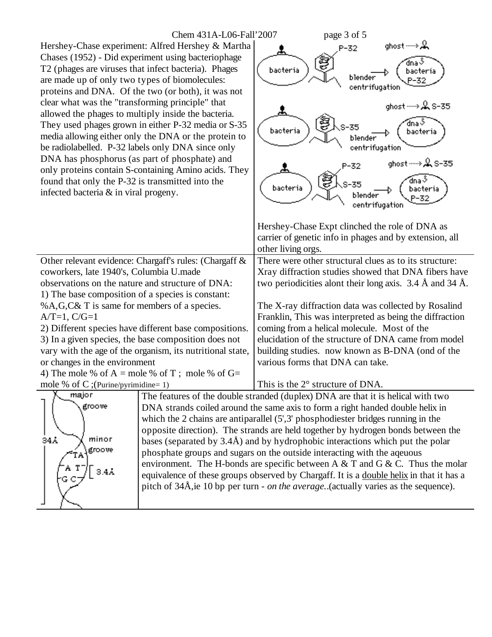Hershey-Chase experiment: Alfred Hershey & Martha Chases (1952) - Did experiment using bacteriophage T2 (phages are viruses that infect bacteria). Phages are made up of only two types of biomolecules: proteins and DNA. Of the two (or both), it was not clear what was the "transforming principle" that allowed the phages to multiply inside the bacteria. They used phages grown in either P-32 media or S-35 media allowing either only the DNA or the protein to be radiolabelled. P-32 labels only DNA since only DNA has phosphorus (as part of phosphate) and only proteins contain S-containing Amino acids. They found that only the P-32 is transmitted into the infected bacteria & in viral progeny.



|                                                           |                                                                                  | Hershey-Chase Expt clinched the role of DNA as                                |  |  |
|-----------------------------------------------------------|----------------------------------------------------------------------------------|-------------------------------------------------------------------------------|--|--|
|                                                           |                                                                                  | carrier of genetic info in phages and by extension, all                       |  |  |
|                                                           |                                                                                  | other living orgs.                                                            |  |  |
| Other relevant evidence: Chargaff's rules: (Chargaff &    |                                                                                  | There were other structural clues as to its structure:                        |  |  |
| coworkers, late 1940's, Columbia U.made                   |                                                                                  | Xray diffraction studies showed that DNA fibers have                          |  |  |
| observations on the nature and structure of DNA:          |                                                                                  | two periodicities alont their long axis. $3.4 \text{ Å}$ and $34 \text{ Å}$ . |  |  |
| 1) The base composition of a species is constant:         |                                                                                  |                                                                               |  |  |
| %A,G,C& T is same for members of a species.               |                                                                                  | The X-ray diffraction data was collected by Rosalind                          |  |  |
| $A/T=1, C/G=1$                                            |                                                                                  | Franklin, This was interpreted as being the diffraction                       |  |  |
| 2) Different species have different base compositions.    |                                                                                  | coming from a helical molecule. Most of the                                   |  |  |
| 3) In a given species, the base composition does not      |                                                                                  | elucidation of the structure of DNA came from model                           |  |  |
| vary with the age of the organism, its nutritional state, |                                                                                  | building studies. now known as B-DNA (ond of the                              |  |  |
| or changes in the environment                             |                                                                                  | various forms that DNA can take.                                              |  |  |
| 4) The mole % of A = mole % of T; mole % of G=            |                                                                                  |                                                                               |  |  |
| mole % of C;(Purine/pyrimidine= 1)                        |                                                                                  | This is the $2^{\circ}$ structure of DNA.                                     |  |  |
| major                                                     | The features of the double stranded (duplex) DNA are that it is helical with two |                                                                               |  |  |
| ദ്നവല                                                     | DNA strongs osiled eround the same exis to form a right handed double helix in   |                                                                               |  |  |

| major                                                    | The features of the double stranded (duplex) DNA are that it is helical with two                  |
|----------------------------------------------------------|---------------------------------------------------------------------------------------------------|
| groove                                                   | DNA strands coiled around the same axis to form a right handed double helix in                    |
|                                                          | which the 2 chains are antiparallel $(5,3)$ phosphodiester bridges running in the                 |
|                                                          | opposite direction). The strands are held together by hydrogen bonds between the                  |
| minor<br>34A                                             | bases (separated by $3.4\text{\AA}$ ) and by hydrophobic interactions which put the polar         |
| $\sim_{\text{TA}}$ (groove                               | phosphate groups and sugars on the outside interacting with the aqeuous                           |
|                                                          | environment. The H-bonds are specific between A & T and G & C. Thus the molar                     |
| $\begin{bmatrix} A & T \\ G & C \end{bmatrix}$<br>  3.4A | equivalence of these groups observed by Chargaff. It is a double helix in that it has a           |
|                                                          | pitch of $34\AA$ , ie 10 bp per turn - <i>on the average</i> . (actually varies as the sequence). |
|                                                          |                                                                                                   |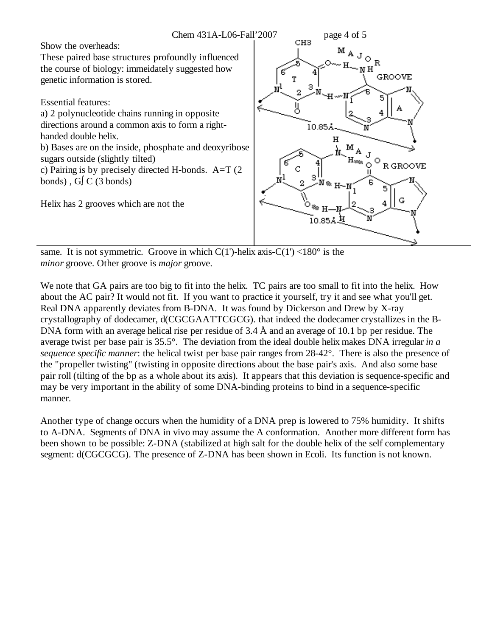

same. It is not symmetric. Groove in which  $C(1')$ -helix axis- $C(1') < 180^\circ$  is the *minor* groove. Other groove is *major* groove.

We note that GA pairs are too big to fit into the helix. TC pairs are too small to fit into the helix. How about the AC pair? It would not fit. If you want to practice it yourself, try it and see what you'll get. Real DNA apparently deviates from B-DNA. It was found by Dickerson and Drew by X-ray crystallography of dodecamer, d(CGCGAATTCGCG). that indeed the dodecamer crystallizes in the B-DNA form with an average helical rise per residue of 3.4 Å and an average of 10.1 bp per residue. The average twist per base pair is 35.5°. The deviation from the ideal double helix makes DNA irregular *in a sequence specific manner*: the helical twist per base pair ranges from 28-42°. There is also the presence of the "propeller twisting" (twisting in opposite directions about the base pair's axis. And also some base pair roll (tilting of the bp as a whole about its axis). It appears that this deviation is sequence-specific and may be very important in the ability of some DNA-binding proteins to bind in a sequence-specific manner.

Another type of change occurs when the humidity of a DNA prep is lowered to 75% humidity. It shifts to A-DNA. Segments of DNA in vivo may assume the A conformation. Another more different form has been shown to be possible: Z-DNA (stabilized at high salt for the double helix of the self complementary segment: d(CGCGCG). The presence of Z-DNA has been shown in Ecoli. Its function is not known.